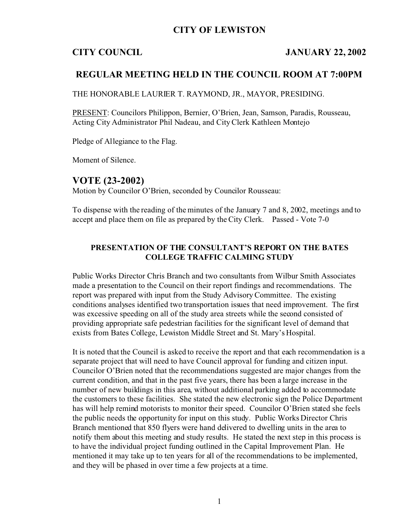## **CITY OF LEWISTON**

#### **CITY COUNCIL JANUARY 22, 2002**

### **REGULAR MEETING HELD IN THE COUNCIL ROOM AT 7:00PM**

THE HONORABLE LAURIER T. RAYMOND, JR., MAYOR, PRESIDING.

PRESENT: Councilors Philippon, Bernier, O'Brien, Jean, Samson, Paradis, Rousseau, Acting City Administrator Phil Nadeau, and City Clerk Kathleen Montejo

Pledge of Allegiance to the Flag.

Moment of Silence.

## **VOTE (23-2002)**

Motion by Councilor O'Brien, seconded by Councilor Rousseau:

To dispense with the reading of the minutes of the January 7 and 8, 2002, meetings and to accept and place them on file as prepared by the City Clerk. Passed - Vote 7-0

### **PRESENTATION OF THE CONSULTANT'S REPORT ON THE BATES COLLEGE TRAFFIC CALMING STUDY**

Public Works Director Chris Branch and two consultants from Wilbur Smith Associates made a presentation to the Council on their report findings and recommendations. The report was prepared with input from the Study Advisory Committee. The existing conditions analyses identified two transportation issues that need improvement. The first was excessive speeding on all of the study area streets while the second consisted of providing appropriate safe pedestrian facilities for the significant level of demand that exists from Bates College, Lewiston Middle Street and St. Mary's Hospital.

It is noted that the Council is asked to receive the report and that each recommendation is a separate project that will need to have Council approval for funding and citizen input. Councilor O'Brien noted that the recommendations suggested are major changes from the current condition, and that in the past five years, there has been a large increase in the number of new buildings in this area, without additional parking added to accommodate the customers to these facilities. She stated the new electronic sign the Police Department has will help remind motorists to monitor their speed. Councilor O'Brien stated she feels the public needs the opportunity for input on this study. Public Works Director Chris Branch mentioned that 850 flyers were hand delivered to dwelling units in the area to notify them about this meeting and study results. He stated the next step in this process is to have the individual project funding outlined in the Capital Improvement Plan. He mentioned it may take up to ten years for all of the recommendations to be implemented, and they will be phased in over time a few projects at a time.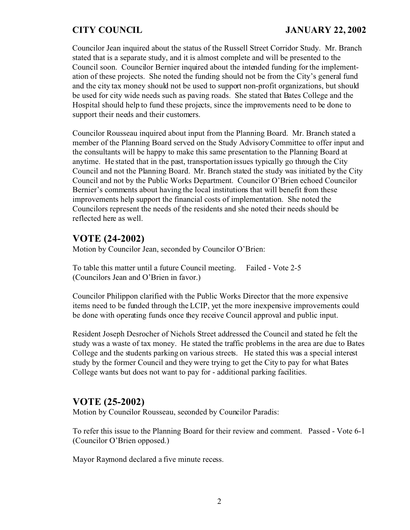Councilor Jean inquired about the status of the Russell Street Corridor Study. Mr. Branch stated that is a separate study, and it is almost complete and will be presented to the Council soon. Councilor Bernier inquired about the intended funding for the implementation of these projects. She noted the funding should not be from the City's general fund and the city tax money should not be used to support non-profit organizations, but should be used for city wide needs such as paving roads. She stated that Bates College and the Hospital should help to fund these projects, since the improvements need to be done to support their needs and their customers.

Councilor Rousseau inquired about input from the Planning Board. Mr. Branch stated a member of the Planning Board served on the Study Advisory Committee to offer input and the consultants will be happy to make this same presentation to the Planning Board at anytime. He stated that in the past, transportation issues typically go through the City Council and not the Planning Board. Mr. Branch stated the study was initiated by the City Council and not by the Public Works Department. Councilor O'Brien echoed Councilor Bernier's comments about having the local institutions that will benefit from these improvements help support the financial costs of implementation. She noted the Councilors represent the needs of the residents and she noted their needs should be reflected here as well.

# **VOTE (24-2002)**

Motion by Councilor Jean, seconded by Councilor O'Brien:

To table this matter until a future Council meeting. Failed - Vote 2-5 (Councilors Jean and O'Brien in favor.)

Councilor Philippon clarified with the Public Works Director that the more expensive items need to be funded through the LCIP, yet the more inexpensive improvements could be done with operating funds once they receive Council approval and public input.

Resident Joseph Desrocher of Nichols Street addressed the Council and stated he felt the study was a waste of tax money. He stated the traffic problems in the area are due to Bates College and the students parking on various streets. He stated this was a special interest study by the former Council and they were trying to get the City to pay for what Bates College wants but does not want to pay for - additional parking facilities.

# **VOTE (25-2002)**

Motion by Councilor Rousseau, seconded by Councilor Paradis:

To refer this issue to the Planning Board for their review and comment. Passed - Vote 6-1 (Councilor O'Brien opposed.)

Mayor Raymond declared a five minute recess.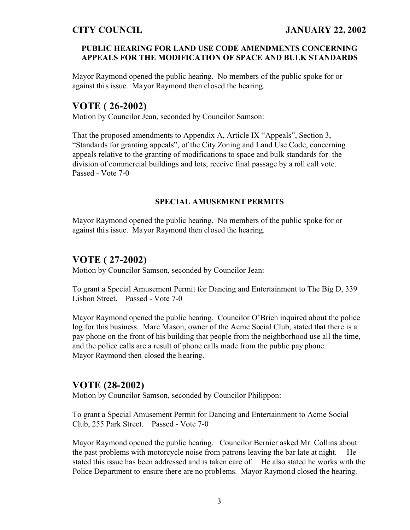### **PUBLIC HEARING FOR LAND USE CODE AMENDMENTS CONCERNING APPEALS FOR THE MODIFICATION OF SPACE AND BULK STANDARDS**

Mayor Raymond opened the public hearing. No members of the public spoke for or against this issue. Mayor Raymond then closed the hearing.

## **VOTE ( 26-2002)**

Motion by Councilor Jean, seconded by Councilor Samson:

That the proposed amendments to Appendix A, Article IX "Appeals", Section 3, "Standards for granting appeals", of the City Zoning and Land Use Code, concerning appeals relative to the granting of modifications to space and bulk standards for the division of commercial buildings and lots, receive final passage by a roll call vote. Passed - Vote 7-0

#### **SPECIAL AMUSEMENT PERMITS**

Mayor Raymond opened the public hearing. No members of the public spoke for or against this issue. Mayor Raymond then closed the hearing.

## **VOTE ( 27-2002)**

Motion by Councilor Samson, seconded by Councilor Jean:

To grant a Special Amusement Permit for Dancing and Entertainment to The Big D, 339 Lisbon Street. Passed - Vote 7-0

Mayor Raymond opened the public hearing. Councilor O'Brien inquired about the police log for this business. Marc Mason, owner of the Acme Social Club, stated that there is a pay phone on the front of his building that people from the neighborhood use all the time, and the police calls are a result of phone calls made from the public pay phone. Mayor Raymond then closed the hearing.

## **VOTE (28-2002)**

Motion by Councilor Samson, seconded by Councilor Philippon:

To grant a Special Amusement Permit for Dancing and Entertainment to Acme Social Club, 255 Park Street. Passed - Vote 7-0

Mayor Raymond opened the public hearing. Councilor Bernier asked Mr. Collins about the past problems with motorcycle noise from patrons leaving the bar late at night. He stated this issue has been addressed and is taken care of. He also stated he works with the Police Department to ensure there are no problems. Mayor Raymond closed the hearing.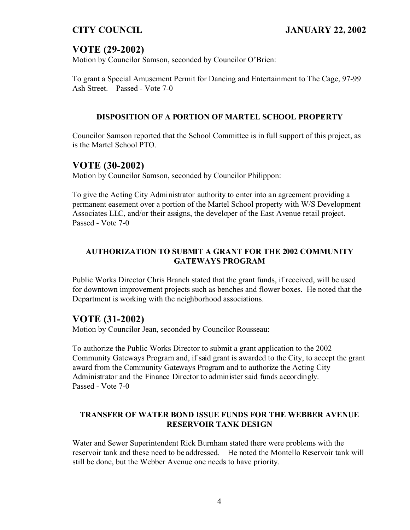# **VOTE (29-2002)**

Motion by Councilor Samson, seconded by Councilor O'Brien:

To grant a Special Amusement Permit for Dancing and Entertainment to The Cage, 97-99 Ash Street. Passed - Vote 7-0

### **DISPOSITION OF A PORTION OF MARTEL SCHOOL PROPERTY**

Councilor Samson reported that the School Committee is in full support of this project, as is the Martel School PTO.

## **VOTE (30-2002)**

Motion by Councilor Samson, seconded by Councilor Philippon:

To give the Acting City Administrator authority to enter into an agreement providing a permanent easement over a portion of the Martel School property with W/S Development Associates LLC, and/or their assigns, the developer of the East Avenue retail project. Passed - Vote 7-0

## **AUTHORIZATION TO SUBMIT A GRANT FOR THE 2002 COMMUNITY GATEWAYS PROGRAM**

Public Works Director Chris Branch stated that the grant funds, if received, will be used for downtown improvement projects such as benches and flower boxes. He noted that the Department is working with the neighborhood associations.

## **VOTE (31-2002)**

Motion by Councilor Jean, seconded by Councilor Rousseau:

To authorize the Public Works Director to submit a grant application to the 2002 Community Gateways Program and, if said grant is awarded to the City, to accept the grant award from the Community Gateways Program and to authorize the Acting City Administrator and the Finance Director to administer said funds accordingly. Passed - Vote 7-0

### **TRANSFER OF WATER BOND ISSUE FUNDS FOR THE WEBBER AVENUE RESERVOIR TANK DESIGN**

Water and Sewer Superintendent Rick Burnham stated there were problems with the reservoir tank and these need to be addressed. He noted the Montello Reservoir tank will still be done, but the Webber Avenue one needs to have priority.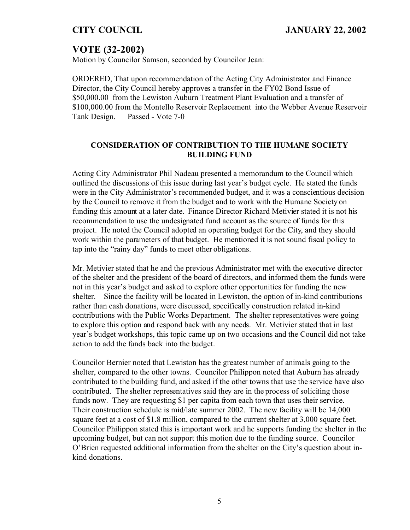# **VOTE (32-2002)**

Motion by Councilor Samson, seconded by Councilor Jean:

ORDERED, That upon recommendation of the Acting City Administrator and Finance Director, the City Council hereby approves a transfer in the FY02 Bond Issue of \$50,000.00 from the Lewiston Auburn Treatment Plant Evaluation and a transfer of \$100,000.00 from the Montello Reservoir Replacement into the Webber Avenue Reservoir Tank Design. Passed - Vote 7-0

### **CONSIDERATION OF CONTRIBUTION TO THE HUMANE SOCIETY BUILDING FUND**

Acting City Administrator Phil Nadeau presented a memorandum to the Council which outlined the discussions of this issue during last year's budget cycle. He stated the funds were in the City Administrator's recommended budget, and it was a conscientious decision by the Council to remove it from the budget and to work with the Humane Society on funding this amount at a later date. Finance Director Richard Metivier stated it is not his recommendation to use the undesignated fund account as the source of funds for this project. He noted the Council adopted an operating budget for the City, and they should work within the parameters of that budget. He mentioned it is not sound fiscal policy to tap into the "rainy day" funds to meet other obligations.

Mr. Metivier stated that he and the previous Administrator met with the executive director of the shelter and the president of the board of directors, and informed them the funds were not in this year's budget and asked to explore other opportunities for funding the new shelter. Since the facility will be located in Lewiston, the option of in-kind contributions rather than cash donations, were discussed, specifically construction related in-kind contributions with the Public Works Department. The shelter representatives were going to explore this option and respond back with any needs. Mr. Metivier stated that in last year's budget workshops, this topic came up on two occasions and the Council did not take action to add the funds back into the budget.

Councilor Bernier noted that Lewiston has the greatest number of animals going to the shelter, compared to the other towns. Councilor Philippon noted that Auburn has already contributed to the building fund, and asked if the other towns that use the service have also contributed. The shelter representatives said they are in the process of soliciting those funds now. They are requesting \$1 per capita from each town that uses their service. Their construction schedule is mid/late summer 2002. The new facility will be 14,000 square feet at a cost of \$1.8 million, compared to the current shelter at 3,000 square feet. Councilor Philippon stated this is important work and he supports funding the shelter in the upcoming budget, but can not support this motion due to the funding source. Councilor O'Brien requested additional information from the shelter on the City's question about inkind donations.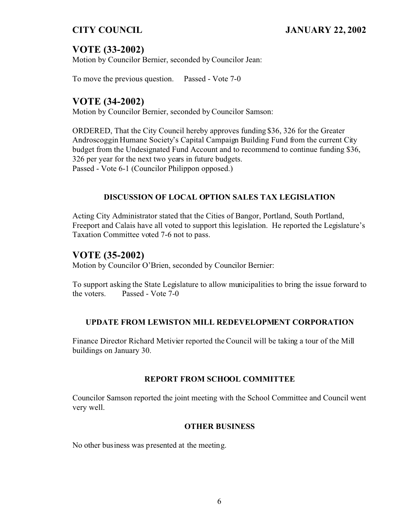# **VOTE (33-2002)**

Motion by Councilor Bernier, seconded by Councilor Jean:

To move the previous question. Passed - Vote 7-0

## **VOTE (34-2002)**

Motion by Councilor Bernier, seconded by Councilor Samson:

ORDERED, That the City Council hereby approves funding \$36, 326 for the Greater Androscoggin Humane Society's Capital Campaign Building Fund from the current City budget from the Undesignated Fund Account and to recommend to continue funding \$36, 326 per year for the next two years in future budgets. Passed - Vote 6-1 (Councilor Philippon opposed.)

### **DISCUSSION OF LOCAL OPTION SALES TAX LEGISLATION**

Acting City Administrator stated that the Cities of Bangor, Portland, South Portland, Freeport and Calais have all voted to support this legislation. He reported the Legislature's Taxation Committee voted 7-6 not to pass.

## **VOTE (35-2002)**

Motion by Councilor O'Brien, seconded by Councilor Bernier:

To support asking the State Legislature to allow municipalities to bring the issue forward to the voters. Passed - Vote 7-0

#### **UPDATE FROM LEWISTON MILL REDEVELOPMENT CORPORATION**

Finance Director Richard Metivier reported the Council will be taking a tour of the Mill buildings on January 30.

#### **REPORT FROM SCHOOL COMMITTEE**

Councilor Samson reported the joint meeting with the School Committee and Council went very well.

#### **OTHER BUSINESS**

No other business was presented at the meeting.